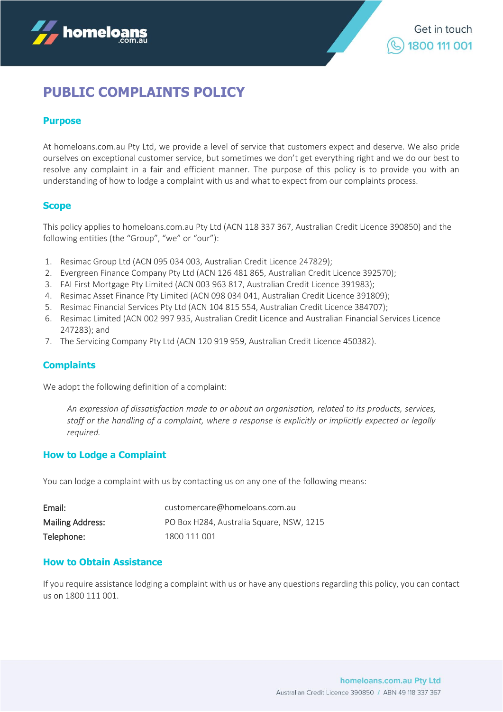

# **PUBLIC COMPLAINTS POLICY**

# **Purpose**

At homeloans.com.au Pty Ltd, we provide a level of service that customers expect and deserve. We also pride ourselves on exceptional customer service, but sometimes we don't get everything right and we do our best to resolve any complaint in a fair and efficient manner. The purpose of this policy is to provide you with an understanding of how to lodge a complaint with us and what to expect from our complaints process.

### **Scope**

This policy applies to homeloans.com.au Pty Ltd (ACN 118 337 367, Australian Credit Licence 390850) and the following entities (the "Group", "we" or "our"):

- 1. Resimac Group Ltd (ACN 095 034 003, Australian Credit Licence 247829);
- 2. Evergreen Finance Company Pty Ltd (ACN 126 481 865, Australian Credit Licence 392570);
- 3. FAI First Mortgage Pty Limited (ACN 003 963 817, Australian Credit Licence 391983);
- 4. Resimac Asset Finance Pty Limited (ACN 098 034 041, Australian Credit Licence 391809);
- 5. Resimac Financial Services Pty Ltd (ACN 104 815 554, Australian Credit Licence 384707);
- 6. Resimac Limited (ACN 002 997 935, Australian Credit Licence and Australian Financial Services Licence 247283); and
- 7. The Servicing Company Pty Ltd (ACN 120 919 959, Australian Credit Licence 450382).

#### **Complaints**

We adopt the following definition of a complaint:

*An expression of dissatisfaction made to or about an organisation, related to its products, services, staff or the handling of a complaint, where a response is explicitly or implicitly expected or legally required.* 

#### **How to Lodge a Complaint**

You can lodge a complaint with us by contacting us on any one of the following means:

| Email:                  | customercare@homeloans.com.au            |
|-------------------------|------------------------------------------|
| <b>Mailing Address:</b> | PO Box H284, Australia Square, NSW, 1215 |
| Telephone:              | 1800 111 001                             |

#### **How to Obtain Assistance**

If you require assistance lodging a complaint with us or have any questions regarding this policy, you can contact us on 1800 111 001.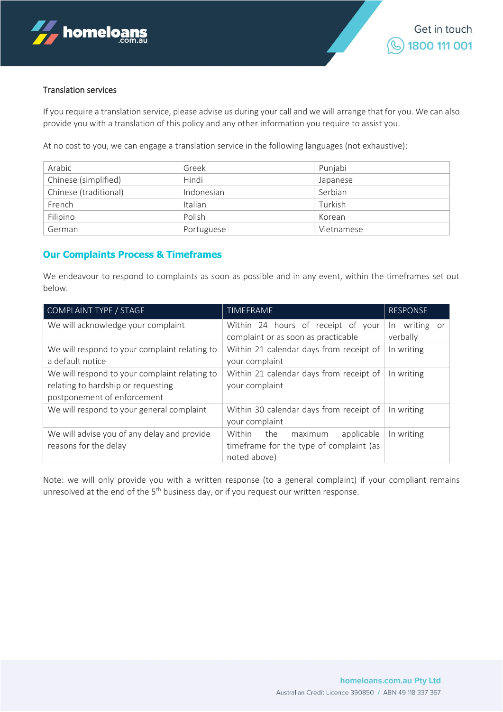

#### Translation services

If you require a translation service, please advise us during your call and we will arrange that for you. We can also provide you with a translation of this policy and any other information you require to assist you.

At no cost to you, we can engage a translation service in the following languages (not exhaustive):

| Arabic                | Greek      | Punjabi    |
|-----------------------|------------|------------|
| Chinese (simplified)  | Hindi      | Japanese   |
| Chinese (traditional) | Indonesian | Serbian    |
| French                | Italian    | Turkish    |
| Filipino              | Polish     | Korean     |
| German                | Portuguese | Vietnamese |

#### **Our Complaints Process & Timeframes**

We endeavour to respond to complaints as soon as possible and in any event, within the timeframes set out below.

| COMPLAINT TYPE / STAGE                                                                                             | TIMEFRAME                                                                                      | <b>RESPONSE</b>              |
|--------------------------------------------------------------------------------------------------------------------|------------------------------------------------------------------------------------------------|------------------------------|
| We will acknowledge your complaint                                                                                 | Within 24 hours of receipt of your<br>complaint or as soon as practicable                      | In writing<br>or<br>verbally |
| We will respond to your complaint relating to<br>a default notice                                                  | Within 21 calendar days from receipt of<br>your complaint                                      | In writing                   |
| We will respond to your complaint relating to<br>relating to hardship or requesting<br>postponement of enforcement | Within 21 calendar days from receipt of<br>your complaint                                      | In writing                   |
| We will respond to your general complaint                                                                          | Within 30 calendar days from receipt of<br>your complaint                                      | In writing                   |
| We will advise you of any delay and provide<br>reasons for the delay                                               | maximum<br>applicable<br>Within the<br>timeframe for the type of complaint (as<br>noted above) | In writing                   |

Note: we will only provide you with a written response (to a general complaint) if your compliant remains unresolved at the end of the  $5<sup>th</sup>$  business day, or if you request our written response.